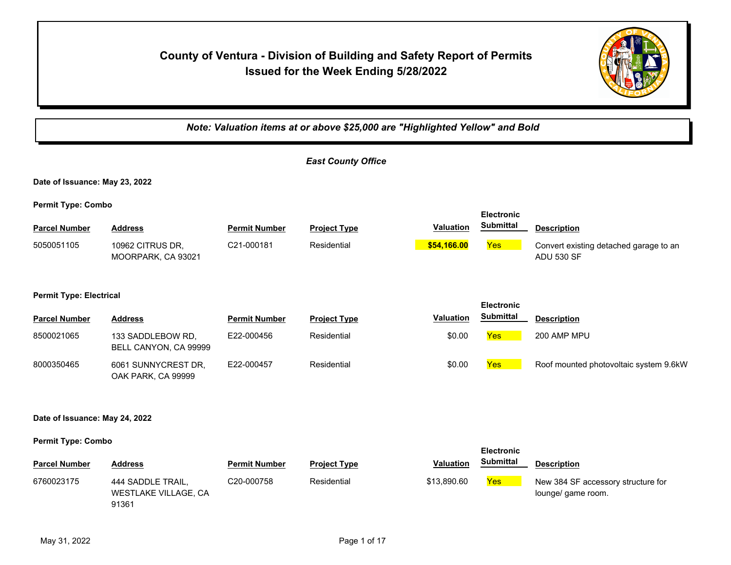# **County of Ventura - Division of Building and Safety Report of Permits Issued for the Week Ending 5/28/2022**



*Note: Valuation items at or above \$25,000 are "Highlighted Yellow" and Bold East County Office* **Date of Issuance: May 23, 2022 Permit Type: Combo Parcel Number Address Permit Number Project Type Valuation Description Electronic Submittal** 5050051105 10962 CITRUS DR, C21-000181 Residential <mark> \$54,166.00</mark> <mark>Yes</mark> MOORPARK, CA 93021 C21-000181 Residential **\$54,166.00** Convert existing detached garage to an ADU 530 SF **Permit Type: Electrical Parcel Number Address <b>Permit Number Project Type Valuation Submittal Description Electronic Submittal** 8500021065 133 SADDLEBOW RD, E22-000456 Residential \$0.00 <mark>Yes </mark> 200 AMP MPU BELL CANYON, CA 99999 6061 SUNNYCREST DR, OAK PARK, CA 99999 8000350465 6061 SUNNYCREST DR, E22-000457 Residential **Burgest States and States Roof mounted photovoltaic system 9.6kW Date of Issuance: May 24, 2022 Permit Type: Combo Parcel Number Address <b>Permit Number Project Type Valuation Submittal** Description **Electronic Submittal** 6760023175 444 SADDLE TRAIL, C20-000758 Residential \$13,890.60 <mark>Yes</mark> WESTLAKE VILLAGE, CA C20-000758 Residential \$13,890.60 Yes New 384 SF accessory structure for lounge/ game room.

91361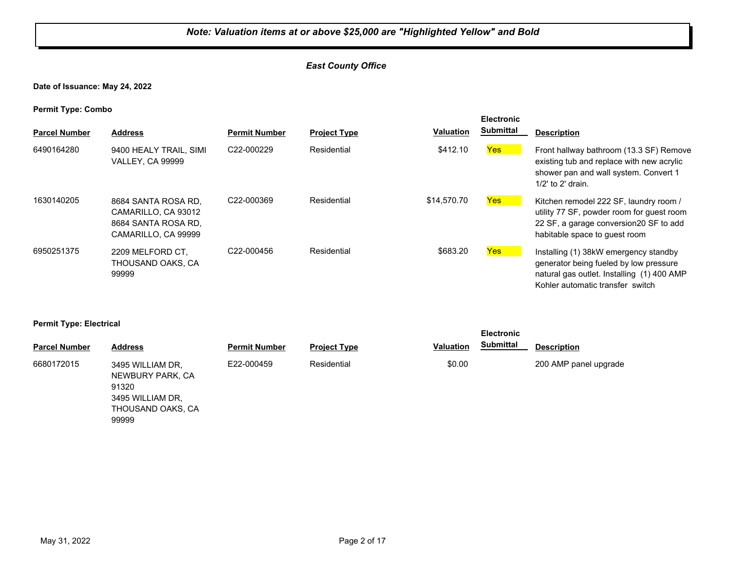## *East County Office*

**Date of Issuance: May 24, 2022**

**Permit Type: Combo**

| . .<br><b>Parcel Number</b> | <b>Address</b>                                                                           | <b>Permit Number</b>    | <b>Project Type</b> | <b>Valuation</b> | <b>Electronic</b><br><b>Submittal</b> | <b>Description</b>                                                                                                                                                |
|-----------------------------|------------------------------------------------------------------------------------------|-------------------------|---------------------|------------------|---------------------------------------|-------------------------------------------------------------------------------------------------------------------------------------------------------------------|
| 6490164280                  | 9400 HEALY TRAIL, SIMI<br><b>VALLEY, CA 99999</b>                                        | C22-000229              | Residential         | \$412.10         | Yes                                   | Front hallway bathroom (13.3 SF) Remove<br>existing tub and replace with new acrylic<br>shower pan and wall system. Convert 1<br>$1/2$ ' to $2'$ drain.           |
| 1630140205                  | 8684 SANTA ROSA RD.<br>CAMARILLO, CA 93012<br>8684 SANTA ROSA RD.<br>CAMARILLO, CA 99999 | C <sub>22</sub> -000369 | Residential         | \$14,570.70      | Yes                                   | Kitchen remodel 222 SF, laundry room /<br>utility 77 SF, powder room for guest room<br>22 SF, a garage conversion 20 SF to add<br>habitable space to quest room   |
| 6950251375                  | 2209 MELFORD CT.<br>THOUSAND OAKS, CA<br>99999                                           | C22-000456              | Residential         | \$683.20         | Yes                                   | Installing (1) 38kW emergency standby<br>generator being fueled by low pressure<br>natural gas outlet. Installing (1) 400 AMP<br>Kohler automatic transfer switch |

#### **Permit Type: Electrical**

3495 WILLIAM DR, THOUSAND OAKS, CA

99999

| --                   |                                               |                      |                     |                  | <b>Electronic</b> |                       |  |
|----------------------|-----------------------------------------------|----------------------|---------------------|------------------|-------------------|-----------------------|--|
| <b>Parcel Number</b> | <b>Address</b>                                | <b>Permit Number</b> | <b>Project Type</b> | <b>Valuation</b> | <b>Submittal</b>  | <b>Description</b>    |  |
| 6680172015           | 3495 WILLIAM DR.<br>NEWBURY PARK, CA<br>91320 | E22-000459           | Residential         | \$0.00           |                   | 200 AMP panel upgrade |  |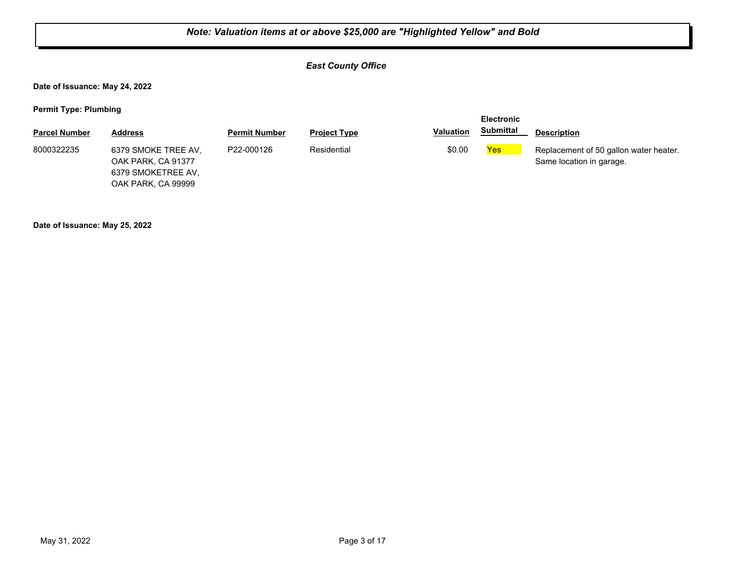## *East County Office*

**Date of Issuance: May 24, 2022**

**Permit Type: Plumbing**

|                      |                                                                                       |                      |                     |                  | <b>Electronic</b> |                                                                    |
|----------------------|---------------------------------------------------------------------------------------|----------------------|---------------------|------------------|-------------------|--------------------------------------------------------------------|
| <b>Parcel Number</b> | Address                                                                               | <b>Permit Number</b> | <b>Project Type</b> | <b>Valuation</b> | <b>Submittal</b>  | <b>Description</b>                                                 |
| 8000322235           | 6379 SMOKE TREE AV.<br>OAK PARK, CA 91377<br>6379 SMOKETREE AV,<br>OAK PARK, CA 99999 | P22-000126           | Residential         | \$0.00           | Yes               | Replacement of 50 gallon water heater.<br>Same location in garage. |

**Date of Issuance: May 25, 2022**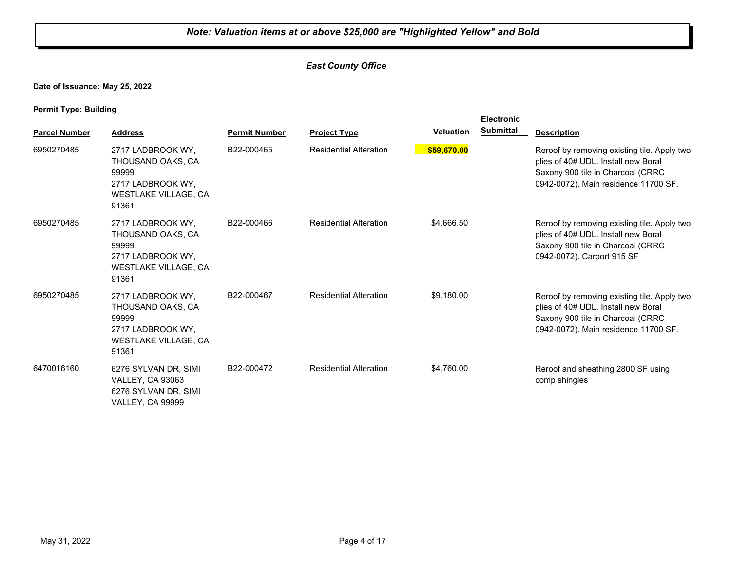## *East County Office*

**Date of Issuance: May 25, 2022**

**Permit Type: Building**

|                      |                                                                                                              |                      |                               |                  | <b>Electronic</b> |                                                                                                                                                                 |
|----------------------|--------------------------------------------------------------------------------------------------------------|----------------------|-------------------------------|------------------|-------------------|-----------------------------------------------------------------------------------------------------------------------------------------------------------------|
| <b>Parcel Number</b> | <b>Address</b>                                                                                               | <b>Permit Number</b> | <b>Project Type</b>           | <b>Valuation</b> | <b>Submittal</b>  | <b>Description</b>                                                                                                                                              |
| 6950270485           | 2717 LADBROOK WY.<br>THOUSAND OAKS, CA<br>99999<br>2717 LADBROOK WY.<br>WESTLAKE VILLAGE, CA<br>91361        | B22-000465           | <b>Residential Alteration</b> | \$59,670.00      |                   | Reroof by removing existing tile. Apply two<br>plies of 40# UDL. Install new Boral<br>Saxony 900 tile in Charcoal (CRRC<br>0942-0072). Main residence 11700 SF. |
| 6950270485           | 2717 LADBROOK WY,<br>THOUSAND OAKS, CA<br>99999<br>2717 LADBROOK WY.<br>WESTLAKE VILLAGE, CA<br>91361        | B22-000466           | <b>Residential Alteration</b> | \$4,666.50       |                   | Reroof by removing existing tile. Apply two<br>plies of 40# UDL. Install new Boral<br>Saxony 900 tile in Charcoal (CRRC<br>0942-0072). Carport 915 SF           |
| 6950270485           | 2717 LADBROOK WY,<br>THOUSAND OAKS, CA<br>99999<br>2717 LADBROOK WY.<br><b>WESTLAKE VILLAGE, CA</b><br>91361 | B22-000467           | <b>Residential Alteration</b> | \$9,180.00       |                   | Reroof by removing existing tile. Apply two<br>plies of 40# UDL. Install new Boral<br>Saxony 900 tile in Charcoal (CRRC<br>0942-0072). Main residence 11700 SF. |
| 6470016160           | 6276 SYLVAN DR, SIMI<br><b>VALLEY, CA 93063</b><br>6276 SYLVAN DR, SIMI<br>VALLEY, CA 99999                  | B22-000472           | <b>Residential Alteration</b> | \$4,760.00       |                   | Reroof and sheathing 2800 SF using<br>comp shingles                                                                                                             |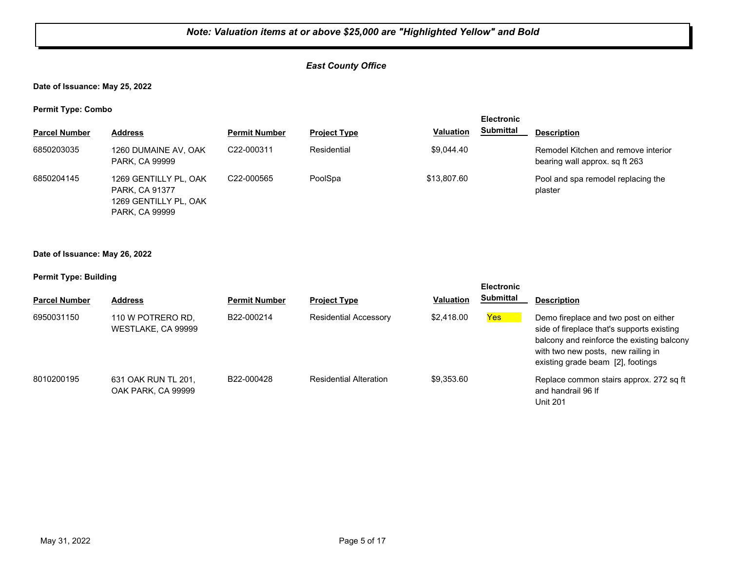## *East County Office*

**Date of Issuance: May 25, 2022**

**Permit Type: Combo**

| . .                  |                                                                                           |                         |                     |                  | <b>Electronic</b> |                                                                       |
|----------------------|-------------------------------------------------------------------------------------------|-------------------------|---------------------|------------------|-------------------|-----------------------------------------------------------------------|
| <b>Parcel Number</b> | <b>Address</b>                                                                            | <b>Permit Number</b>    | <b>Project Type</b> | <b>Valuation</b> | <b>Submittal</b>  | <b>Description</b>                                                    |
| 6850203035           | 1260 DUMAINE AV, OAK<br>PARK, CA 99999                                                    | C22-000311              | Residential         | \$9.044.40       |                   | Remodel Kitchen and remove interior<br>bearing wall approx. sq ft 263 |
| 6850204145           | 1269 GENTILLY PL, OAK<br>PARK, CA 91377<br>1269 GENTILLY PL, OAK<br><b>PARK, CA 99999</b> | C <sub>22</sub> -000565 | PoolSpa             | \$13,807.60      |                   | Pool and spa remodel replacing the<br>plaster                         |

## **Date of Issuance: May 26, 2022**

#### **Permit Type: Building**

| <b>Parcel Number</b> | <b>Address</b>                            | <b>Permit Number</b> | <b>Project Type</b>           | <b>Valuation</b> | <b>Electronic</b><br><b>Submittal</b> | <b>Description</b>                                                                                                                                                                                           |
|----------------------|-------------------------------------------|----------------------|-------------------------------|------------------|---------------------------------------|--------------------------------------------------------------------------------------------------------------------------------------------------------------------------------------------------------------|
| 6950031150           | 110 W POTRERO RD.<br>WESTLAKE, CA 99999   | B22-000214           | <b>Residential Accessory</b>  | \$2,418,00       | <b>Yes</b>                            | Demo fireplace and two post on either<br>side of fireplace that's supports existing<br>balcony and reinforce the existing balcony<br>with two new posts, new railing in<br>existing grade beam [2], footings |
| 8010200195           | 631 OAK RUN TL 201,<br>OAK PARK, CA 99999 | B22-000428           | <b>Residential Alteration</b> | \$9.353.60       |                                       | Replace common stairs approx. 272 sq ft<br>and handrail 96 If<br><b>Unit 201</b>                                                                                                                             |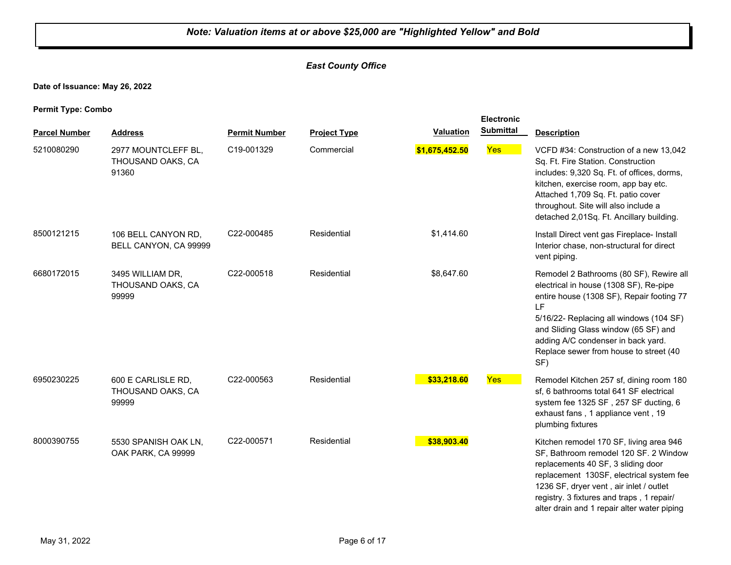## *East County Office*

**Date of Issuance: May 26, 2022**

**Permit Type: Combo**

|                      |                                                   |                      |                     |                  | <b>Electronic</b> |                                                                                                                                                                                                                                                                                                                |
|----------------------|---------------------------------------------------|----------------------|---------------------|------------------|-------------------|----------------------------------------------------------------------------------------------------------------------------------------------------------------------------------------------------------------------------------------------------------------------------------------------------------------|
| <b>Parcel Number</b> | <b>Address</b>                                    | <b>Permit Number</b> | <b>Project Type</b> | <b>Valuation</b> | <b>Submittal</b>  | <b>Description</b>                                                                                                                                                                                                                                                                                             |
| 5210080290           | 2977 MOUNTCLEFF BL,<br>THOUSAND OAKS, CA<br>91360 | C19-001329           | Commercial          | \$1,675,452.50   | <b>Yes</b>        | VCFD #34: Construction of a new 13,042<br>Sq. Ft. Fire Station. Construction<br>includes: 9,320 Sq. Ft. of offices, dorms,<br>kitchen, exercise room, app bay etc.<br>Attached 1,709 Sq. Ft. patio cover<br>throughout. Site will also include a<br>detached 2,01Sq. Ft. Ancillary building.                   |
| 8500121215           | 106 BELL CANYON RD,<br>BELL CANYON, CA 99999      | C22-000485           | Residential         | \$1,414.60       |                   | Install Direct vent gas Fireplace- Install<br>Interior chase, non-structural for direct<br>vent piping.                                                                                                                                                                                                        |
| 6680172015           | 3495 WILLIAM DR,<br>THOUSAND OAKS, CA<br>99999    | C22-000518           | Residential         | \$8,647.60       |                   | Remodel 2 Bathrooms (80 SF), Rewire all<br>electrical in house (1308 SF), Re-pipe<br>entire house (1308 SF), Repair footing 77<br>LF<br>5/16/22- Replacing all windows (104 SF)<br>and Sliding Glass window (65 SF) and<br>adding A/C condenser in back yard.<br>Replace sewer from house to street (40<br>SF) |
| 6950230225           | 600 E CARLISLE RD,<br>THOUSAND OAKS, CA<br>99999  | C22-000563           | Residential         | \$33,218.60      | <b>Yes</b>        | Remodel Kitchen 257 sf, dining room 180<br>sf, 6 bathrooms total 641 SF electrical<br>system fee 1325 SF, 257 SF ducting, 6<br>exhaust fans, 1 appliance vent, 19<br>plumbing fixtures                                                                                                                         |
| 8000390755           | 5530 SPANISH OAK LN,<br>OAK PARK, CA 99999        | C22-000571           | Residential         | \$38,903.40      |                   | Kitchen remodel 170 SF, living area 946<br>SF, Bathroom remodel 120 SF. 2 Window<br>replacements 40 SF, 3 sliding door<br>replacement 130SF, electrical system fee<br>1236 SF, dryer vent, air inlet / outlet<br>registry. 3 fixtures and traps, 1 repair/<br>alter drain and 1 repair alter water piping      |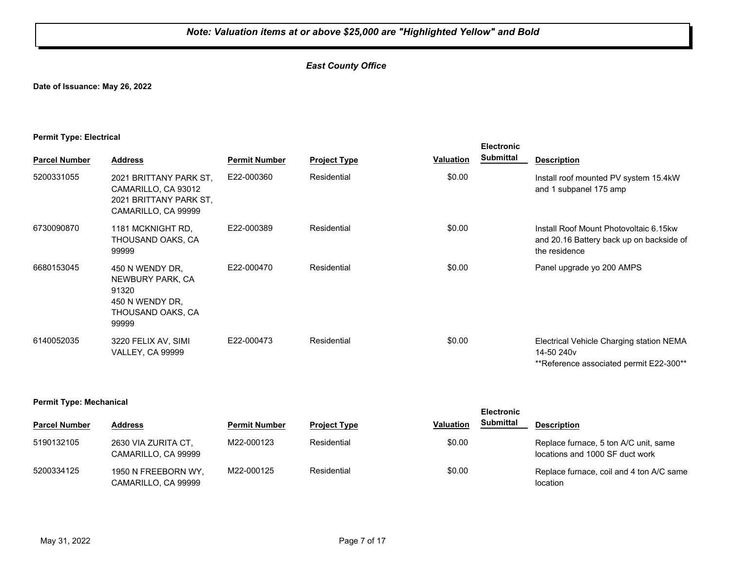## *East County Office*

**Date of Issuance: May 26, 2022**

#### **Permit Type: Electrical**

|                      |                                                                                                |                      |                     |                  | <b>Electronic</b> |                                                                                                               |
|----------------------|------------------------------------------------------------------------------------------------|----------------------|---------------------|------------------|-------------------|---------------------------------------------------------------------------------------------------------------|
| <b>Parcel Number</b> | <b>Address</b>                                                                                 | <b>Permit Number</b> | <b>Project Type</b> | <b>Valuation</b> | <b>Submittal</b>  | <b>Description</b>                                                                                            |
| 5200331055           | 2021 BRITTANY PARK ST.<br>CAMARILLO, CA 93012<br>2021 BRITTANY PARK ST.<br>CAMARILLO, CA 99999 | E22-000360           | Residential         | \$0.00           |                   | Install roof mounted PV system 15.4kW<br>and 1 subpanel 175 amp                                               |
| 6730090870           | 1181 MCKNIGHT RD.<br>THOUSAND OAKS, CA<br>99999                                                | E22-000389           | Residential         | \$0.00           |                   | Install Roof Mount Photovoltaic 6.15kw<br>and 20.16 Battery back up on backside of<br>the residence           |
| 6680153045           | 450 N WENDY DR.<br>NEWBURY PARK, CA<br>91320<br>450 N WENDY DR.<br>THOUSAND OAKS, CA<br>99999  | E22-000470           | Residential         | \$0.00           |                   | Panel upgrade yo 200 AMPS                                                                                     |
| 6140052035           | 3220 FELIX AV, SIMI<br><b>VALLEY, CA 99999</b>                                                 | E22-000473           | Residential         | \$0.00           |                   | Electrical Vehicle Charging station NEMA<br>14-50 240 <sub>v</sub><br>**Reference associated permit E22-300** |

#### **Permit Type: Mechanical**

|                      |                                            |                      |                     |                  | <b>Electronic</b> |                                                                          |
|----------------------|--------------------------------------------|----------------------|---------------------|------------------|-------------------|--------------------------------------------------------------------------|
| <b>Parcel Number</b> | <b>Address</b>                             | <b>Permit Number</b> | <b>Project Type</b> | <b>Valuation</b> | Submittal         | <b>Description</b>                                                       |
| 5190132105           | 2630 VIA ZURITA CT.<br>CAMARILLO, CA 99999 | M22-000123           | Residential         | \$0.00           |                   | Replace furnace, 5 ton A/C unit, same<br>locations and 1000 SF duct work |
| 5200334125           | 1950 N FREEBORN WY.<br>CAMARILLO, CA 99999 | M22-000125           | Residential         | \$0.00           |                   | Replace furnace, coil and 4 ton A/C same<br>location                     |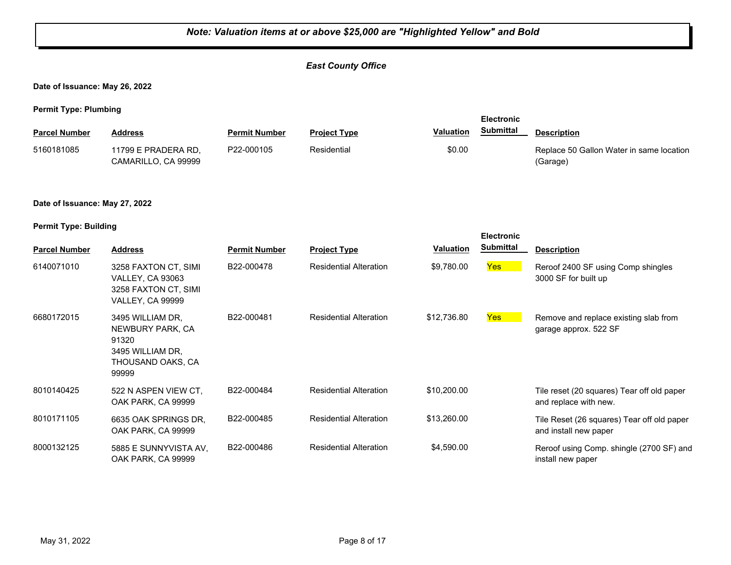#### *Note: Valuation items at or above \$25,000 are "Highlighted Yellow" and Bold East County Office* **Date of Issuance: May 26, 2022 Permit Type: Plumbing Parcel Number Address <b>Permit Number Project Type Valuation Submittal** Description **Electronic Submittal** 11799 E PRADERA RD, CAMARILLO, CA 99999 P22-000105 Residential  $\text{Replace }$  50.00 Replace 50 Gallon Water in same location (Garage) 5160181085 **Date of Issuance: May 27, 2022 Permit Type: Building Parcel Number Address Permit Number Project Type Valuation Description Electronic Submittal** 6140071010 3258 FAXTON CT, SIMI B22-000478 Residential Alteration \$9,780.00 <mark>Yes</mark> VALLEY, CA 93063 3258 FAXTON CT, SIMI VALLEY, CA 99999 B22-000478 Residential Alteration \$9,780.00 Yes Reroof 2400 SF using Comp shingles 3000 SF for built up 3495 WILLIAM DR, NEWBURY PARK, CA 91320 3495 WILLIAM DR, THOUSAND OAKS, CA 99999 B22-000481 Residential Alteration \$12,736.80 **Yes** Remove and replace existing slab from garage approx. 522 SF 6680172015 3495 WILLIAM DR. B22-000481 Residential Alteration 522 N ASPEN VIEW CT, OAK PARK, CA 99999 B22-000484 Residential Alteration \$10,200.00 Tile reset (20 squares) Tear off old paper and replace with new. 8010140425 6635 OAK SPRINGS DR, OAK PARK, CA 99999 B22-000485 Residential Alteration \$13,260.00 Tile Reset (26 squares) Tear off old paper and install new paper 8010171105 5885 E SUNNYVISTA AV, OAK PARK, CA 99999 B22-000486 Residential Alteration \$4,590.00 Reroof using Comp. shingle (2700 SF) and install new paper 8000132125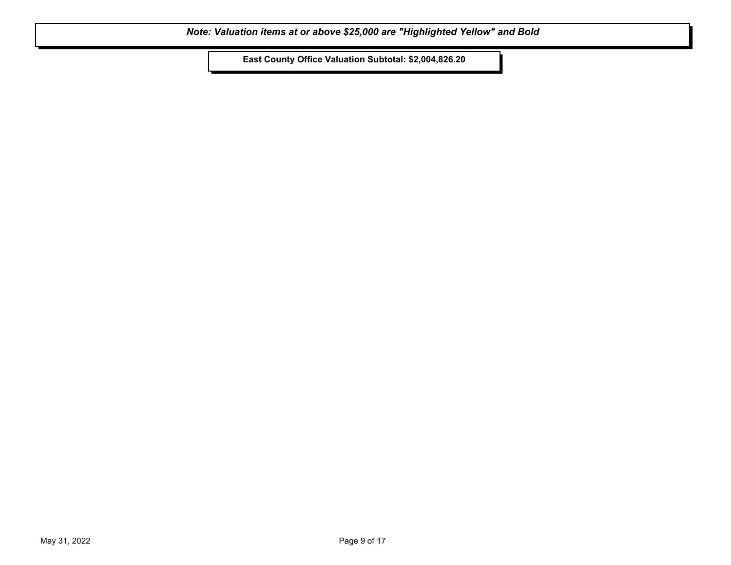**East County Office Valuation Subtotal: \$2,004,826.20**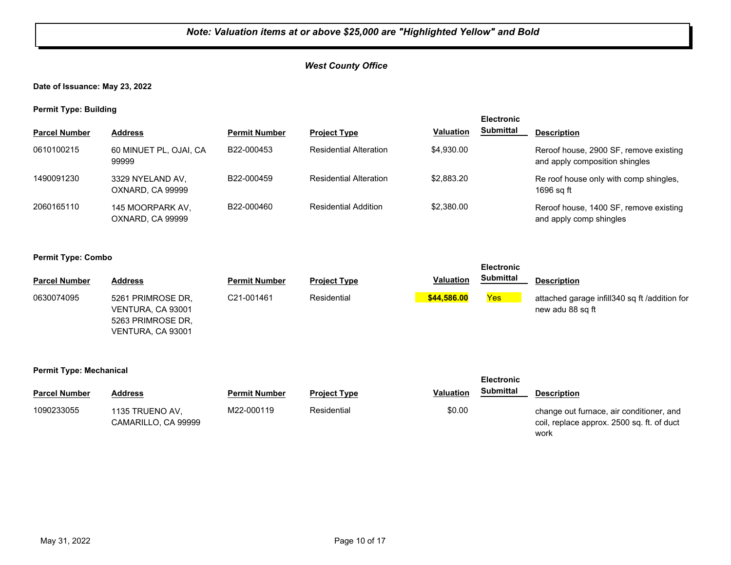## *West County Office*

**Date of Issuance: May 23, 2022**

**Permit Type: Building**

| . .                  |                                      |                      |                               |                  | <b>Electronic</b> |                                                                          |
|----------------------|--------------------------------------|----------------------|-------------------------------|------------------|-------------------|--------------------------------------------------------------------------|
| <b>Parcel Number</b> | <b>Address</b>                       | <b>Permit Number</b> | <b>Project Type</b>           | <b>Valuation</b> | <b>Submittal</b>  | <b>Description</b>                                                       |
| 0610100215           | 60 MINUET PL, OJAI, CA<br>99999      | B22-000453           | <b>Residential Alteration</b> | \$4.930.00       |                   | Reroof house, 2900 SF, remove existing<br>and apply composition shingles |
| 1490091230           | 3329 NYELAND AV,<br>OXNARD, CA 99999 | B22-000459           | <b>Residential Alteration</b> | \$2,883.20       |                   | Re roof house only with comp shingles,<br>1696 sq ft                     |
| 2060165110           | 145 MOORPARK AV.<br>OXNARD, CA 99999 | B22-000460           | <b>Residential Addition</b>   | \$2.380.00       |                   | Reroof house, 1400 SF, remove existing<br>and apply comp shingles        |

#### **Permit Type: Combo**

|                      |                                                                                  |                      |                     |                  | <b>Electronic</b> |                                                                   |
|----------------------|----------------------------------------------------------------------------------|----------------------|---------------------|------------------|-------------------|-------------------------------------------------------------------|
| <b>Parcel Number</b> | <b>Address</b>                                                                   | <b>Permit Number</b> | <b>Project Type</b> | <b>Valuation</b> | <b>Submittal</b>  | <b>Description</b>                                                |
| 0630074095           | 5261 PRIMROSE DR.<br>VENTURA, CA 93001<br>5263 PRIMROSE DR.<br>VENTURA, CA 93001 | C21-001461           | Residential         | \$44,586.00      | <b>Yes</b>        | attached garage infill340 sq ft /addition for<br>new adu 88 sq ft |

#### **Permit Type: Mechanical**

| - -                  |                                        | <b>Electronic</b>    |                     |                                      |                                                                                                |
|----------------------|----------------------------------------|----------------------|---------------------|--------------------------------------|------------------------------------------------------------------------------------------------|
| <b>Parcel Number</b> | Address                                | <b>Permit Number</b> | <b>Project Type</b> | <b>Submittal</b><br><b>Valuation</b> | <b>Description</b>                                                                             |
| 1090233055           | 1135 TRUENO AV,<br>CAMARILLO, CA 99999 | M22-000119           | Residential         | \$0.00                               | change out furnace, air conditioner, and<br>coil, replace approx. 2500 sq. ft. of duct<br>work |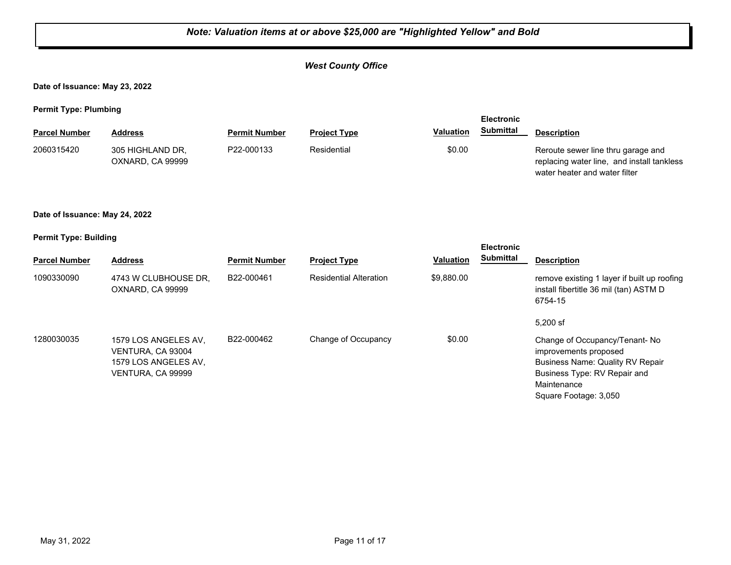## *West County Office*

**Date of Issuance: May 23, 2022**

**Permit Type: Plumbing**

|                      |                                      |                      |                     |                  | <b>Electronic</b> |                                                                                                                   |
|----------------------|--------------------------------------|----------------------|---------------------|------------------|-------------------|-------------------------------------------------------------------------------------------------------------------|
| <b>Parcel Number</b> | <b>Address</b>                       | <b>Permit Number</b> | <b>Project Type</b> | <b>Valuation</b> | Submittal         | <b>Description</b>                                                                                                |
| 2060315420           | 305 HIGHLAND DR.<br>OXNARD, CA 99999 | P22-000133           | Residential         | \$0.00           |                   | Reroute sewer line thru garage and<br>replacing water line, and install tankless<br>water heater and water filter |

#### **Date of Issuance: May 24, 2022**

#### **Permit Type: Building**

|                      |                                                                                        |                      |                               |                  | <b>Electronic</b> |                                                                                                                                                                           |
|----------------------|----------------------------------------------------------------------------------------|----------------------|-------------------------------|------------------|-------------------|---------------------------------------------------------------------------------------------------------------------------------------------------------------------------|
| <b>Parcel Number</b> | <b>Address</b>                                                                         | <b>Permit Number</b> | <b>Project Type</b>           | <b>Valuation</b> | Submittal         | <b>Description</b>                                                                                                                                                        |
| 1090330090           | 4743 W CLUBHOUSE DR.<br>OXNARD, CA 99999                                               | B22-000461           | <b>Residential Alteration</b> | \$9,880.00       |                   | remove existing 1 layer if built up roofing<br>install fibertitle 36 mil (tan) ASTM D<br>6754-15                                                                          |
|                      |                                                                                        |                      |                               |                  |                   | $5,200$ sf                                                                                                                                                                |
| 1280030035           | 1579 LOS ANGELES AV.<br>VENTURA, CA 93004<br>1579 LOS ANGELES AV.<br>VENTURA, CA 99999 | B22-000462           | Change of Occupancy           | \$0.00           |                   | Change of Occupancy/Tenant-No<br>improvements proposed<br><b>Business Name: Quality RV Repair</b><br>Business Type: RV Repair and<br>Maintenance<br>Square Footage: 3,050 |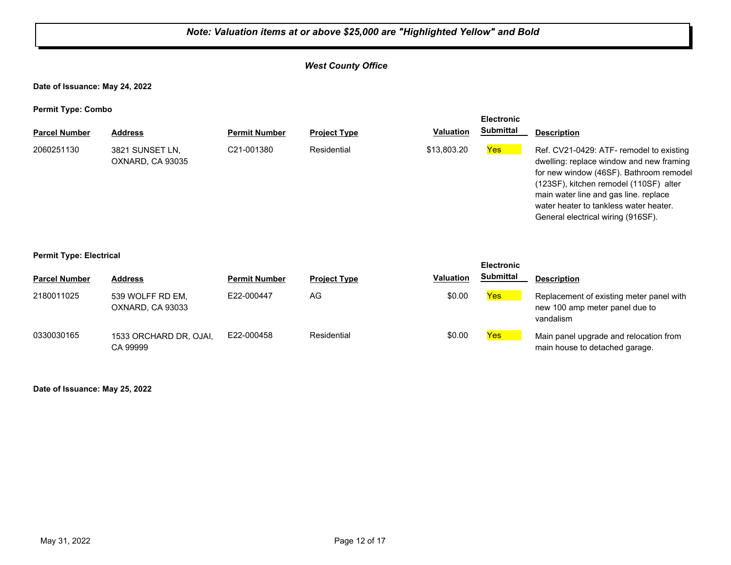## *West County Office*

**Date of Issuance: May 24, 2022**

**Permit Type: Combo**

| . .                  |                                     |                         |                     |                  | <b>Electronic</b> |                                                                                                                                                                                                                                                                                                    |
|----------------------|-------------------------------------|-------------------------|---------------------|------------------|-------------------|----------------------------------------------------------------------------------------------------------------------------------------------------------------------------------------------------------------------------------------------------------------------------------------------------|
| <b>Parcel Number</b> | <b>Address</b>                      | <b>Permit Number</b>    | <b>Project Type</b> | <b>Valuation</b> | <b>Submittal</b>  | <b>Description</b>                                                                                                                                                                                                                                                                                 |
| 2060251130           | 3821 SUNSET LN.<br>OXNARD, CA 93035 | C <sub>21</sub> -001380 | Residential         | \$13,803.20      | <b>Yes</b>        | Ref. CV21-0429: ATF- remodel to existing<br>dwelling: replace window and new framing<br>for new window (46SF). Bathroom remodel<br>(123SF), kitchen remodel (110SF) alter<br>main water line and gas line, replace<br>water heater to tankless water heater.<br>General electrical wiring (916SF). |

#### **Permit Type: Electrical**

| <b>Parcel Number</b> | <b>Address</b>                       | <b>Permit Number</b> | <b>Project Type</b> | <b>Valuation</b> | LIGUU VIIIU<br><b>Submittal</b> | <b>Description</b>                                                                      |
|----------------------|--------------------------------------|----------------------|---------------------|------------------|---------------------------------|-----------------------------------------------------------------------------------------|
| 2180011025           | 539 WOLFF RD EM.<br>OXNARD, CA 93033 | E22-000447           | AG                  | \$0.00           | Yes                             | Replacement of existing meter panel with<br>new 100 amp meter panel due to<br>vandalism |
| 0330030165           | 1533 ORCHARD DR, OJAI,<br>CA 99999   | E22-000458           | Residential         | \$0.00           | Yes                             | Main panel upgrade and relocation from<br>main house to detached garage.                |

**Electronic** 

**Date of Issuance: May 25, 2022**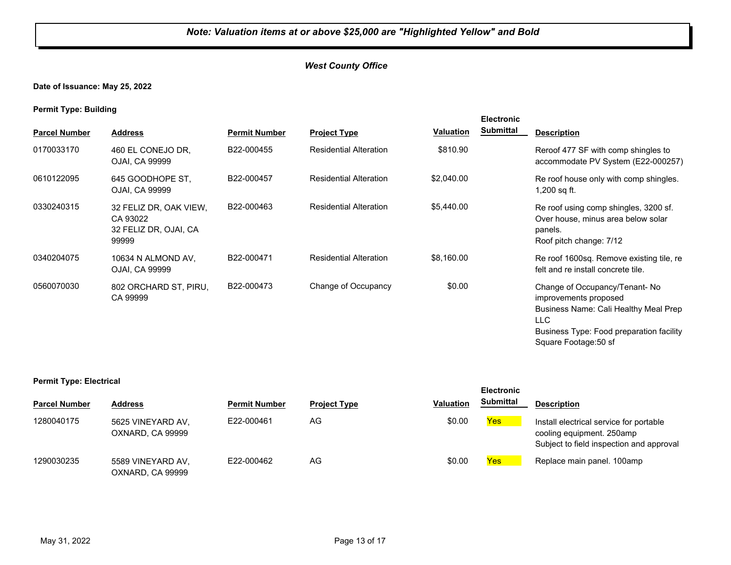## *West County Office*

#### **Date of Issuance: May 25, 2022**

**Permit Type: Building**

| . .                  |                                                                      |                      |                               |                  | <b>Electronic</b> |                                                                                                                                                                              |
|----------------------|----------------------------------------------------------------------|----------------------|-------------------------------|------------------|-------------------|------------------------------------------------------------------------------------------------------------------------------------------------------------------------------|
| <b>Parcel Number</b> | <b>Address</b>                                                       | <b>Permit Number</b> | <b>Project Type</b>           | <b>Valuation</b> | <b>Submittal</b>  | <b>Description</b>                                                                                                                                                           |
| 0170033170           | 460 EL CONEJO DR.<br>OJAI, CA 99999                                  | B22-000455           | <b>Residential Alteration</b> | \$810.90         |                   | Reroof 477 SF with comp shingles to<br>accommodate PV System (E22-000257)                                                                                                    |
| 0610122095           | 645 GOODHOPE ST.<br>OJAI, CA 99999                                   | B22-000457           | <b>Residential Alteration</b> | \$2,040.00       |                   | Re roof house only with comp shingles.<br>1,200 sq ft.                                                                                                                       |
| 0330240315           | 32 FELIZ DR, OAK VIEW,<br>CA 93022<br>32 FELIZ DR, OJAI, CA<br>99999 | B22-000463           | <b>Residential Alteration</b> | \$5,440.00       |                   | Re roof using comp shingles, 3200 sf.<br>Over house, minus area below solar<br>panels.<br>Roof pitch change: 7/12                                                            |
| 0340204075           | 10634 N ALMOND AV,<br>OJAI, CA 99999                                 | B22-000471           | <b>Residential Alteration</b> | \$8,160.00       |                   | Re roof 1600sq. Remove existing tile, re<br>felt and re install concrete tile.                                                                                               |
| 0560070030           | 802 ORCHARD ST, PIRU,<br>CA 99999                                    | B22-000473           | Change of Occupancy           | \$0.00           |                   | Change of Occupancy/Tenant-No<br>improvements proposed<br>Business Name: Cali Healthy Meal Prep<br>LLC.<br>Business Type: Food preparation facility<br>Square Footage: 50 sf |

#### **Permit Type: Electrical**

| <b>Parcel Number</b> | <b>Address</b>                        | <b>Permit Number</b> | <b>Project Type</b> | <b>Valuation</b> | <b>Submittal</b> | <b>Description</b>                                                                                               |
|----------------------|---------------------------------------|----------------------|---------------------|------------------|------------------|------------------------------------------------------------------------------------------------------------------|
| 1280040175           | 5625 VINEYARD AV,<br>OXNARD, CA 99999 | E22-000461           | AG                  | \$0.00           | Yes              | Install electrical service for portable<br>cooling equipment. 250amp<br>Subject to field inspection and approval |
| 1290030235           | 5589 VINEYARD AV,<br>OXNARD, CA 99999 | E22-000462           | AG                  | \$0.00           | Yes              | Replace main panel. 100amp                                                                                       |

**Electronic**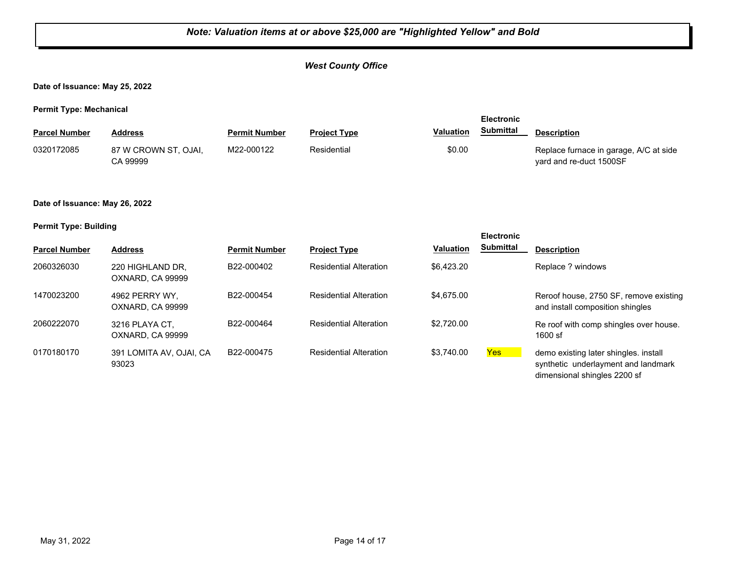## *West County Office*

**Date of Issuance: May 25, 2022**

**Permit Type: Mechanical**

|                      |                                  |                      |                     |                  | <b>Electronic</b> |                                                                   |  |
|----------------------|----------------------------------|----------------------|---------------------|------------------|-------------------|-------------------------------------------------------------------|--|
| <b>Parcel Number</b> | <b>Address</b>                   | <b>Permit Number</b> | <b>Project Type</b> | <b>Valuation</b> | <b>Submittal</b>  | <b>Description</b>                                                |  |
| 0320172085           | 87 W CROWN ST, OJAI,<br>CA 99999 | M22-000122           | Residential         | \$0.00           |                   | Replace furnace in garage, A/C at side<br>yard and re-duct 1500SF |  |

#### **Date of Issuance: May 26, 2022**

#### **Permit Type: Building**

|                      |                                      |                      |                               |                  | <b>Electronic</b> |                                                                              |
|----------------------|--------------------------------------|----------------------|-------------------------------|------------------|-------------------|------------------------------------------------------------------------------|
| <b>Parcel Number</b> | <b>Address</b>                       | <b>Permit Number</b> | <b>Project Type</b>           | <b>Valuation</b> | <b>Submittal</b>  | <b>Description</b>                                                           |
| 2060326030           | 220 HIGHLAND DR.<br>OXNARD, CA 99999 | B22-000402           | <b>Residential Alteration</b> | \$6.423.20       |                   | Replace ? windows                                                            |
| 1470023200           | 4962 PERRY WY.<br>OXNARD, CA 99999   | B22-000454           | <b>Residential Alteration</b> | \$4,675,00       |                   | Reroof house, 2750 SF, remove existing<br>and install composition shingles   |
| 2060222070           | 3216 PLAYA CT.<br>OXNARD, CA 99999   | B22-000464           | <b>Residential Alteration</b> | \$2,720.00       |                   | Re roof with comp shingles over house.<br>1600 sf                            |
| 0170180170           | 391 LOMITA AV, OJAI, CA<br>93023     | B22-000475           | <b>Residential Alteration</b> | \$3.740.00       | Yes:              | demo existing later shingles. install<br>synthetic underlayment and landmark |

dimensional shingles 2200 sf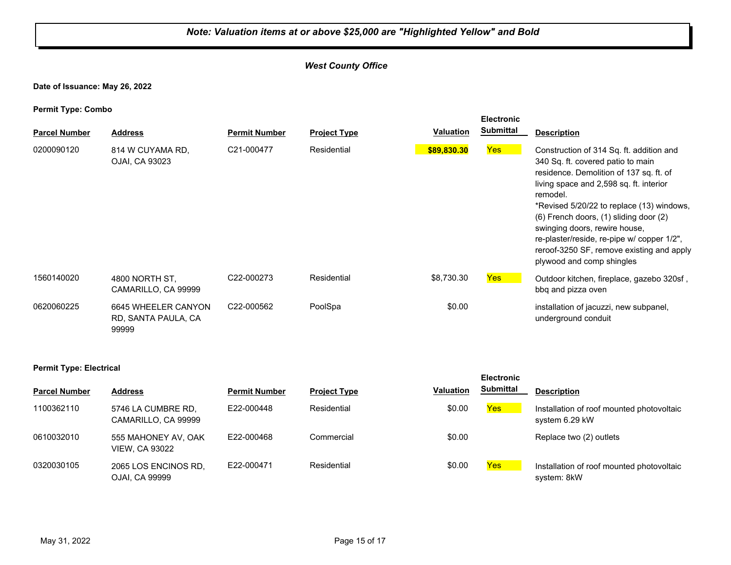## *West County Office*

**Date of Issuance: May 26, 2022**

**Permit Type: Combo**

| . .<br><b>Parcel Number</b> | <b>Address</b>                                      | <b>Permit Number</b>    | <b>Project Type</b> | <b>Valuation</b> | <b>Electronic</b><br><b>Submittal</b> | <b>Description</b>                                                                                                                                                                                                                                                                                                                                                                                                              |
|-----------------------------|-----------------------------------------------------|-------------------------|---------------------|------------------|---------------------------------------|---------------------------------------------------------------------------------------------------------------------------------------------------------------------------------------------------------------------------------------------------------------------------------------------------------------------------------------------------------------------------------------------------------------------------------|
| 0200090120                  | 814 W CUYAMA RD.<br>OJAI, CA 93023                  | C21-000477              | Residential         | \$89,830.30      | Yes                                   | Construction of 314 Sq. ft. addition and<br>340 Sq. ft. covered patio to main<br>residence. Demolition of 137 sq. ft. of<br>living space and 2,598 sq. ft. interior<br>remodel.<br>*Revised 5/20/22 to replace (13) windows,<br>(6) French doors, (1) sliding door (2)<br>swinging doors, rewire house,<br>re-plaster/reside, re-pipe w/ copper 1/2",<br>reroof-3250 SF, remove existing and apply<br>plywood and comp shingles |
| 1560140020                  | 4800 NORTH ST,<br>CAMARILLO, CA 99999               | C22-000273              | Residential         | \$8,730.30       | <b>Yes</b>                            | Outdoor kitchen, fireplace, gazebo 320sf,<br>bbq and pizza oven                                                                                                                                                                                                                                                                                                                                                                 |
| 0620060225                  | 6645 WHEELER CANYON<br>RD, SANTA PAULA, CA<br>99999 | C <sub>22</sub> -000562 | PoolSpa             | \$0.00           |                                       | installation of jacuzzi, new subpanel,<br>underground conduit                                                                                                                                                                                                                                                                                                                                                                   |

#### **Permit Type: Electrical**

|                      |                                              |                      |                     |                  | <b>Electronic</b> |                                                             |
|----------------------|----------------------------------------------|----------------------|---------------------|------------------|-------------------|-------------------------------------------------------------|
| <b>Parcel Number</b> | <b>Address</b>                               | <b>Permit Number</b> | <b>Project Type</b> | <b>Valuation</b> | <b>Submittal</b>  | <b>Description</b>                                          |
| 1100362110           | 5746 LA CUMBRE RD,<br>CAMARILLO, CA 99999    | E22-000448           | Residential         | \$0.00           | Yes               | Installation of roof mounted photovoltaic<br>system 6.29 kW |
| 0610032010           | 555 MAHONEY AV, OAK<br><b>VIEW, CA 93022</b> | E22-000468           | Commercial          | \$0.00           |                   | Replace two (2) outlets                                     |
| 0320030105           | 2065 LOS ENCINOS RD,<br>OJAI, CA 99999       | E22-000471           | Residential         | \$0.00           | <b>Yes</b>        | Installation of roof mounted photovoltaic<br>system: 8kW    |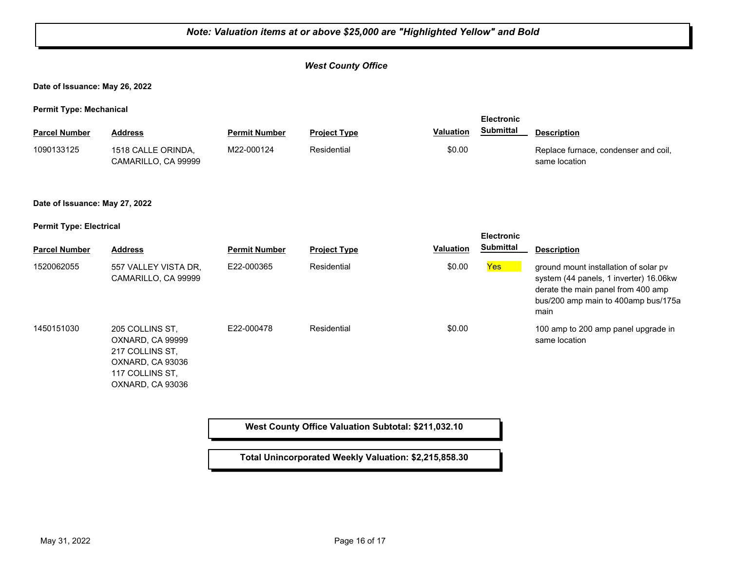## *Note: Valuation items at or above \$25,000 are "Highlighted Yellow" and Bold West County Office* **Date of Issuance: May 26, 2022 Permit Type: Mechanical Parcel Number Address <b>Permit Number Project Type Valuation Submittal** Description **Electronic Submittal** 1518 CALLE ORINDA, CAMARILLO, CA 99999 M22-000124 Residential **Replace furnace, condenser and coil**, same location 1090133125 **Date of Issuance: May 27, 2022 Permit Type: Electrical Parcel Number Address <b>Permit Number Project Type Valuation Submittal** Description **Electronic Submittal** 1520062055 557 VALLEY VISTA DR, E22-000365 Residential \$0.00 <mark>Yes</mark> CAMARILLO, CA 99999 E22-000365 Residential **Residential** \$0.00 **Yes** ground mount installation of solar pv system (44 panels, 1 inverter) 16.06kw derate the main panel from 400 amp bus/200 amp main to 400amp bus/175a main 205 COLLINS ST, OXNARD, CA 99999 217 COLLINS ST, OXNARD, CA 93036 117 COLLINS ST, OXNARD, CA 93036 E22-000478 Residential **Residential** \$0.00 100 amp to 200 amp panel upgrade in same location 1450151030 **West County Office Valuation Subtotal: \$211,032.10 Total Unincorporated Weekly Valuation: \$2,215,858.30**